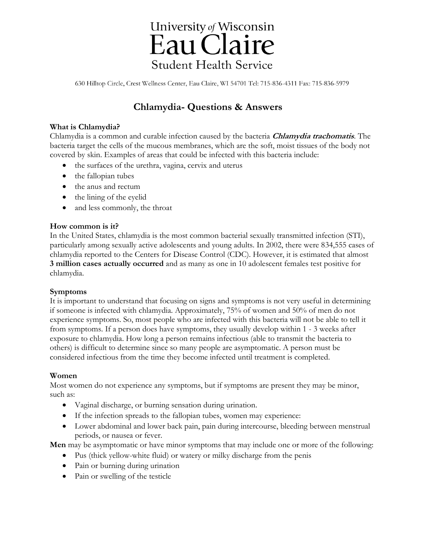# University of Wisconsin Eau Claire **Student Health Service**

630 Hilltop Circle, Crest Wellness Center, Eau Claire, WI 54701 Tel: 715-836-4311 Fax: 715-836-5979

# **Chlamydia- Questions & Answers**

#### **What is Chlamydia?**

Chlamydia is a common and curable infection caused by the bacteria **Chlamydia trachomatis**. The bacteria target the cells of the mucous membranes, which are the soft, moist tissues of the body not covered by skin. Examples of areas that could be infected with this bacteria include:

- the surfaces of the urethra, vagina, cervix and uterus
- the fallopian tubes
- the anus and rectum
- $\bullet$  the lining of the eyelid
- and less commonly, the throat

#### **How common is it?**

In the United States, chlamydia is the most common bacterial sexually transmitted infection (STI), particularly among sexually active adolescents and young adults. In 2002, there were 834,555 cases of chlamydia reported to the Centers for Disease Control (CDC). However, it is estimated that almost **3 million cases actually occurred** and as many as one in 10 adolescent females test positive for chlamydia.

#### **Symptoms**

It is important to understand that focusing on signs and symptoms is not very useful in determining if someone is infected with chlamydia. Approximately, 75% of women and 50% of men do not experience symptoms. So, most people who are infected with this bacteria will not be able to tell it from symptoms. If a person does have symptoms, they usually develop within 1 - 3 weeks after exposure to chlamydia. How long a person remains infectious (able to transmit the bacteria to others) is difficult to determine since so many people are asymptomatic. A person must be considered infectious from the time they become infected until treatment is completed.

## **Women**

Most women do not experience any symptoms, but if symptoms are present they may be minor, such as:

- Vaginal discharge, or burning sensation during urination.
- If the infection spreads to the fallopian tubes, women may experience:
- Lower abdominal and lower back pain, pain during intercourse, bleeding between menstrual periods, or nausea or fever.

**Men** may be asymptomatic or have minor symptoms that may include one or more of the following:

- Pus (thick yellow-white fluid) or watery or milky discharge from the penis
- Pain or burning during urination
- Pain or swelling of the testicle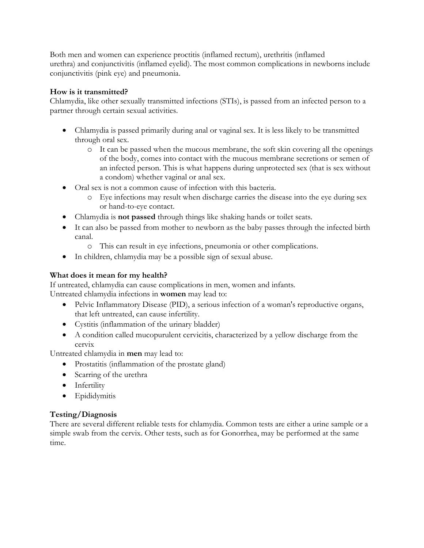Both men and women can experience proctitis (inflamed rectum), urethritis (inflamed urethra) and conjunctivitis (inflamed eyelid). The most common complications in newborns include conjunctivitis (pink eye) and pneumonia.

#### **How is it transmitted?**

Chlamydia, like other sexually transmitted infections (STIs), is passed from an infected person to a partner through certain sexual activities.

- Chlamydia is passed primarily during anal or vaginal sex. It is less likely to be transmitted through oral sex.
	- o It can be passed when the mucous membrane, the soft skin covering all the openings of the body, comes into contact with the mucous membrane secretions or semen of an infected person. This is what happens during unprotected sex (that is sex without a condom) whether vaginal or anal sex.
- Oral sex is not a common cause of infection with this bacteria.
	- o Eye infections may result when discharge carries the disease into the eye during sex or hand-to-eye contact.
- Chlamydia is **not passed** through things like shaking hands or toilet seats.
- It can also be passed from mother to newborn as the baby passes through the infected birth canal.
	- o This can result in eye infections, pneumonia or other complications.
- In children, chlamydia may be a possible sign of sexual abuse.

#### **What does it mean for my health?**

If untreated, chlamydia can cause complications in men, women and infants. Untreated chlamydia infections in **women** may lead to:

- Pelvic Inflammatory Disease (PID), a serious infection of a woman's reproductive organs, that left untreated, can cause infertility.
- Cystitis (inflammation of the urinary bladder)
- A condition called mucopurulent cervicitis, characterized by a yellow discharge from the cervix

Untreated chlamydia in **men** may lead to:

- Prostatitis (inflammation of the prostate gland)
- Scarring of the urethra
- Infertility
- Epididymitis

## **Testing/Diagnosis**

There are several different reliable tests for chlamydia. Common tests are either a urine sample or a simple swab from the cervix. Other tests, such as for Gonorrhea, may be performed at the same time.